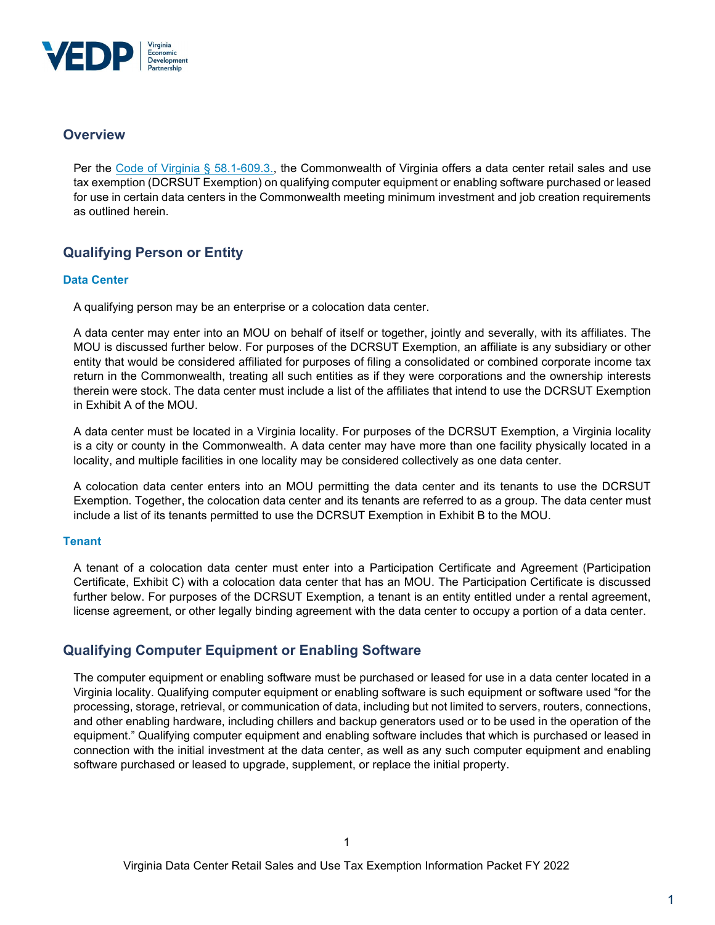

## **Overview**

Per the Code of Virginia § 58.1-609.3., the Commonwealth of Virginia offers a data center retail sales and use tax exemption (DCRSUT Exemption) on qualifying computer equipment or enabling software purchased or leased for use in certain data centers in the Commonwealth meeting minimum investment and job creation requirements as outlined herein.

# Qualifying Person or Entity

### Data Center

A qualifying person may be an enterprise or a colocation data center.

A data center may enter into an MOU on behalf of itself or together, jointly and severally, with its affiliates. The MOU is discussed further below. For purposes of the DCRSUT Exemption, an affiliate is any subsidiary or other entity that would be considered affiliated for purposes of filing a consolidated or combined corporate income tax return in the Commonwealth, treating all such entities as if they were corporations and the ownership interests therein were stock. The data center must include a list of the affiliates that intend to use the DCRSUT Exemption in Exhibit A of the MOU.

A data center must be located in a Virginia locality. For purposes of the DCRSUT Exemption, a Virginia locality is a city or county in the Commonwealth. A data center may have more than one facility physically located in a locality, and multiple facilities in one locality may be considered collectively as one data center.

A colocation data center enters into an MOU permitting the data center and its tenants to use the DCRSUT Exemption. Together, the colocation data center and its tenants are referred to as a group. The data center must include a list of its tenants permitted to use the DCRSUT Exemption in Exhibit B to the MOU.

#### **Tenant**

A tenant of a colocation data center must enter into a Participation Certificate and Agreement (Participation Certificate, Exhibit C) with a colocation data center that has an MOU. The Participation Certificate is discussed further below. For purposes of the DCRSUT Exemption, a tenant is an entity entitled under a rental agreement, license agreement, or other legally binding agreement with the data center to occupy a portion of a data center.

# Qualifying Computer Equipment or Enabling Software

The computer equipment or enabling software must be purchased or leased for use in a data center located in a Virginia locality. Qualifying computer equipment or enabling software is such equipment or software used "for the processing, storage, retrieval, or communication of data, including but not limited to servers, routers, connections, and other enabling hardware, including chillers and backup generators used or to be used in the operation of the equipment." Qualifying computer equipment and enabling software includes that which is purchased or leased in connection with the initial investment at the data center, as well as any such computer equipment and enabling software purchased or leased to upgrade, supplement, or replace the initial property.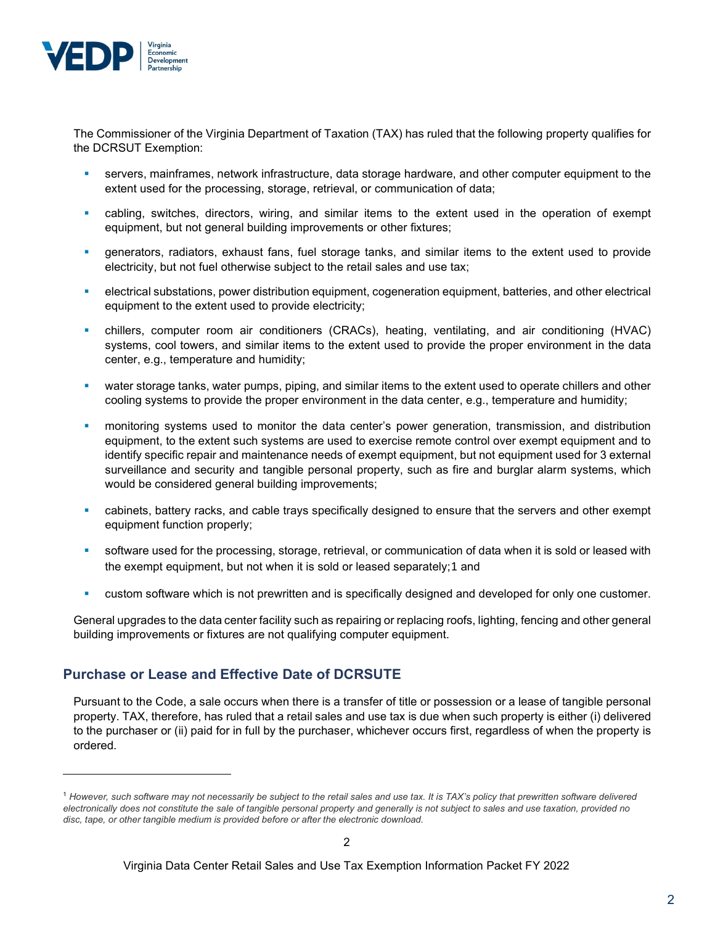

The Commissioner of the Virginia Department of Taxation (TAX) has ruled that the following property qualifies for the DCRSUT Exemption:

- servers, mainframes, network infrastructure, data storage hardware, and other computer equipment to the extent used for the processing, storage, retrieval, or communication of data;
- cabling, switches, directors, wiring, and similar items to the extent used in the operation of exempt equipment, but not general building improvements or other fixtures;
- generators, radiators, exhaust fans, fuel storage tanks, and similar items to the extent used to provide electricity, but not fuel otherwise subject to the retail sales and use tax;
- electrical substations, power distribution equipment, cogeneration equipment, batteries, and other electrical equipment to the extent used to provide electricity;
- chillers, computer room air conditioners (CRACs), heating, ventilating, and air conditioning (HVAC) systems, cool towers, and similar items to the extent used to provide the proper environment in the data center, e.g., temperature and humidity;
- water storage tanks, water pumps, piping, and similar items to the extent used to operate chillers and other cooling systems to provide the proper environment in the data center, e.g., temperature and humidity;
- monitoring systems used to monitor the data center's power generation, transmission, and distribution equipment, to the extent such systems are used to exercise remote control over exempt equipment and to identify specific repair and maintenance needs of exempt equipment, but not equipment used for 3 external surveillance and security and tangible personal property, such as fire and burglar alarm systems, which would be considered general building improvements;
- cabinets, battery racks, and cable trays specifically designed to ensure that the servers and other exempt equipment function properly;
- software used for the processing, storage, retrieval, or communication of data when it is sold or leased with the exempt equipment, but not when it is sold or leased separately;1 and
- custom software which is not prewritten and is specifically designed and developed for only one customer.

General upgrades to the data center facility such as repairing or replacing roofs, lighting, fencing and other general building improvements or fixtures are not qualifying computer equipment.

# Purchase or Lease and Effective Date of DCRSUTE

Pursuant to the Code, a sale occurs when there is a transfer of title or possession or a lease of tangible personal property. TAX, therefore, has ruled that a retail sales and use tax is due when such property is either (i) delivered to the purchaser or (ii) paid for in full by the purchaser, whichever occurs first, regardless of when the property is ordered.

<sup>&</sup>lt;sup>1</sup> However, such software may not necessarily be subject to the retail sales and use tax. It is TAX's policy that prewritten software delivered electronically does not constitute the sale of tangible personal property and generally is not subject to sales and use taxation, provided no disc, tape, or other tangible medium is provided before or after the electronic download.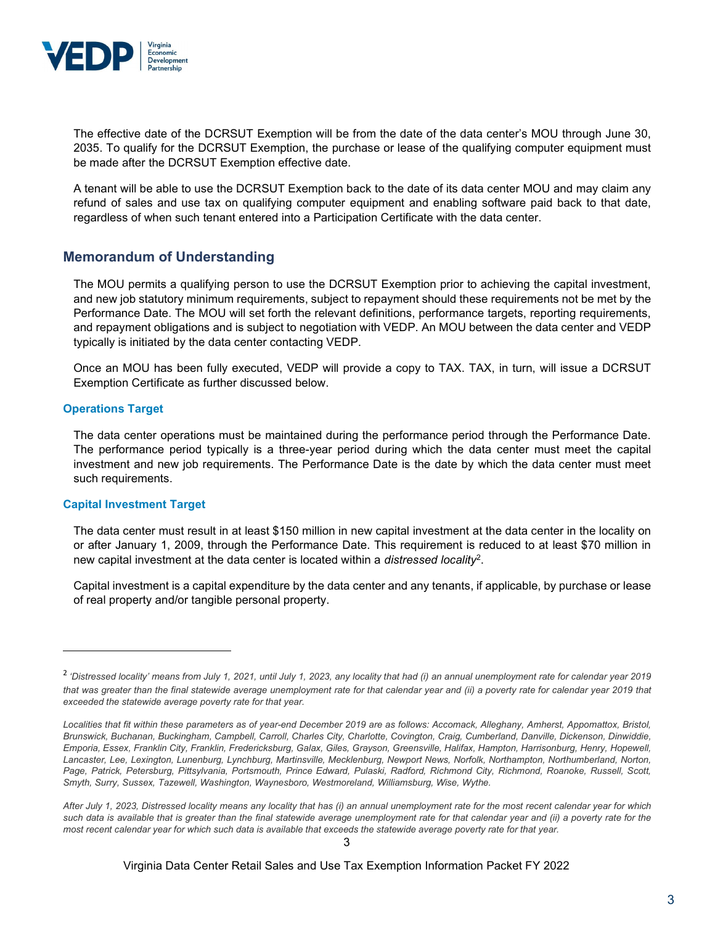

The effective date of the DCRSUT Exemption will be from the date of the data center's MOU through June 30, 2035. To qualify for the DCRSUT Exemption, the purchase or lease of the qualifying computer equipment must be made after the DCRSUT Exemption effective date.

A tenant will be able to use the DCRSUT Exemption back to the date of its data center MOU and may claim any refund of sales and use tax on qualifying computer equipment and enabling software paid back to that date, regardless of when such tenant entered into a Participation Certificate with the data center.

### Memorandum of Understanding

The MOU permits a qualifying person to use the DCRSUT Exemption prior to achieving the capital investment, and new job statutory minimum requirements, subject to repayment should these requirements not be met by the Performance Date. The MOU will set forth the relevant definitions, performance targets, reporting requirements, and repayment obligations and is subject to negotiation with VEDP. An MOU between the data center and VEDP typically is initiated by the data center contacting VEDP.

Once an MOU has been fully executed, VEDP will provide a copy to TAX. TAX, in turn, will issue a DCRSUT Exemption Certificate as further discussed below.

#### Operations Target

The data center operations must be maintained during the performance period through the Performance Date. The performance period typically is a three-year period during which the data center must meet the capital investment and new job requirements. The Performance Date is the date by which the data center must meet such requirements.

#### Capital Investment Target

The data center must result in at least \$150 million in new capital investment at the data center in the locality on or after January 1, 2009, through the Performance Date. This requirement is reduced to at least \$70 million in new capital investment at the data center is located within a *distressed locality*<sup>2</sup>.

Capital investment is a capital expenditure by the data center and any tenants, if applicable, by purchase or lease of real property and/or tangible personal property.

<sup>&</sup>lt;sup>2</sup> 'Distressed locality' means from July 1, 2021, until July 1, 2023, any locality that had (i) an annual unemployment rate for calendar year 2019 that was greater than the final statewide average unemployment rate for that calendar year and (ii) a poverty rate for calendar year 2019 that exceeded the statewide average poverty rate for that year.

Localities that fit within these parameters as of year-end December 2019 are as follows: Accomack, Alleghany, Amherst, Appomattox, Bristol, Brunswick, Buchanan, Buckingham, Campbell, Carroll, Charles City, Charlotte, Covington, Craig, Cumberland, Danville, Dickenson, Dinwiddie, Emporia, Essex, Franklin City, Franklin, Fredericksburg, Galax, Giles, Grayson, Greensville, Halifax, Hampton, Harrisonburg, Henry, Hopewell, Lancaster, Lee, Lexington, Lunenburg, Lynchburg, Martinsville, Mecklenburg, Newport News, Norfolk, Northampton, Northumberland, Norton, Page, Patrick, Petersburg, Pittsylvania, Portsmouth, Prince Edward, Pulaski, Radford, Richmond City, Richmond, Roanoke, Russell, Scott, Smyth, Surry, Sussex, Tazewell, Washington, Waynesboro, Westmoreland, Williamsburg, Wise, Wythe.

After July 1, 2023, Distressed locality means any locality that has (i) an annual unemployment rate for the most recent calendar year for which such data is available that is greater than the final statewide average unemployment rate for that calendar year and (ii) a poverty rate for the most recent calendar year for which such data is available that exceeds the statewide average poverty rate for that year.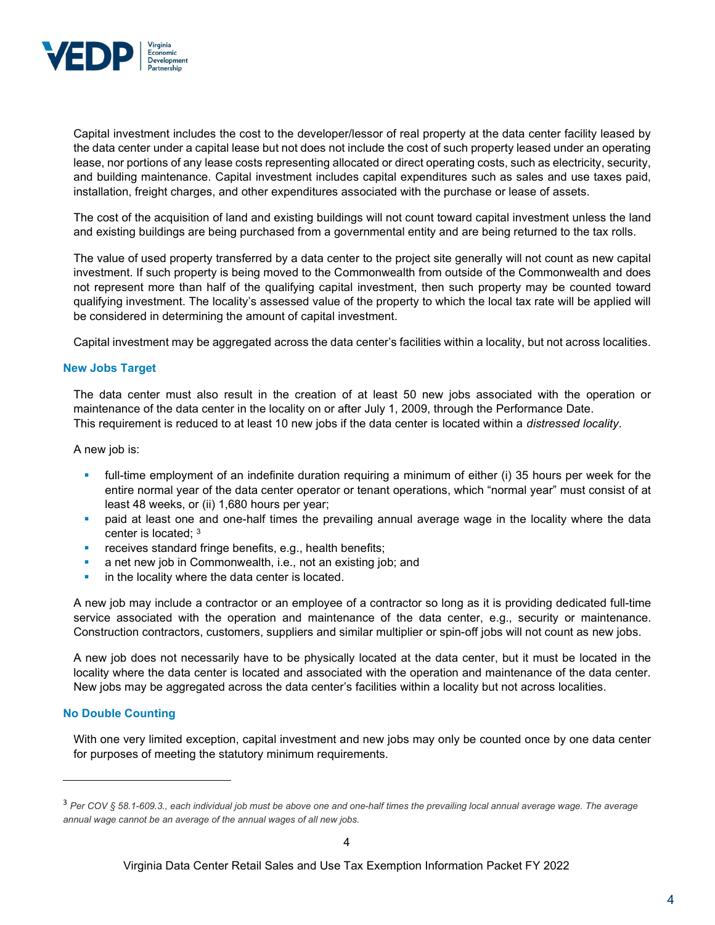

Capital investment includes the cost to the developer/lessor of real property at the data center facility leased by the data center under a capital lease but not does not include the cost of such property leased under an operating lease, nor portions of any lease costs representing allocated or direct operating costs, such as electricity, security, and building maintenance. Capital investment includes capital expenditures such as sales and use taxes paid, installation, freight charges, and other expenditures associated with the purchase or lease of assets.

The cost of the acquisition of land and existing buildings will not count toward capital investment unless the land and existing buildings are being purchased from a governmental entity and are being returned to the tax rolls.

The value of used property transferred by a data center to the project site generally will not count as new capital investment. If such property is being moved to the Commonwealth from outside of the Commonwealth and does not represent more than half of the qualifying capital investment, then such property may be counted toward qualifying investment. The locality's assessed value of the property to which the local tax rate will be applied will be considered in determining the amount of capital investment.

Capital investment may be aggregated across the data center's facilities within a locality, but not across localities.

#### New Jobs Target

The data center must also result in the creation of at least 50 new jobs associated with the operation or maintenance of the data center in the locality on or after July 1, 2009, through the Performance Date. This requirement is reduced to at least 10 new jobs if the data center is located within a distressed locality.

A new job is:

- full-time employment of an indefinite duration requiring a minimum of either (i) 35 hours per week for the entire normal year of the data center operator or tenant operations, which "normal year" must consist of at least 48 weeks, or (ii) 1,680 hours per year;
- paid at least one and one-half times the prevailing annual average wage in the locality where the data center is located; <sup>3</sup>
- receives standard fringe benefits, e.g., health benefits;
- a net new job in Commonwealth, i.e., not an existing job; and
- in the locality where the data center is located.

A new job may include a contractor or an employee of a contractor so long as it is providing dedicated full-time service associated with the operation and maintenance of the data center, e.g., security or maintenance. Construction contractors, customers, suppliers and similar multiplier or spin-off jobs will not count as new jobs.

A new job does not necessarily have to be physically located at the data center, but it must be located in the locality where the data center is located and associated with the operation and maintenance of the data center. New jobs may be aggregated across the data center's facilities within a locality but not across localities.

#### No Double Counting

With one very limited exception, capital investment and new jobs may only be counted once by one data center for purposes of meeting the statutory minimum requirements.

<sup>&</sup>lt;sup>3</sup> Per COV § 58.1-609.3., each individual job must be above one and one-half times the prevailing local annual average wage. The average annual wage cannot be an average of the annual wages of all new jobs.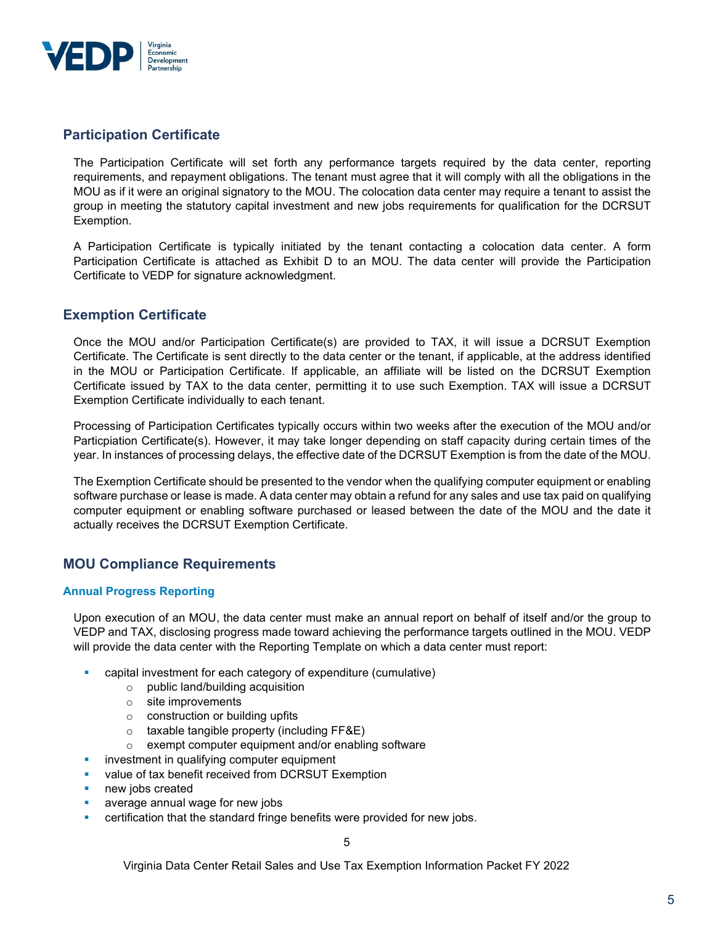

# Participation Certificate

The Participation Certificate will set forth any performance targets required by the data center, reporting requirements, and repayment obligations. The tenant must agree that it will comply with all the obligations in the MOU as if it were an original signatory to the MOU. The colocation data center may require a tenant to assist the group in meeting the statutory capital investment and new jobs requirements for qualification for the DCRSUT Exemption.

A Participation Certificate is typically initiated by the tenant contacting a colocation data center. A form Participation Certificate is attached as Exhibit D to an MOU. The data center will provide the Participation Certificate to VEDP for signature acknowledgment.

## Exemption Certificate

Once the MOU and/or Participation Certificate(s) are provided to TAX, it will issue a DCRSUT Exemption Certificate. The Certificate is sent directly to the data center or the tenant, if applicable, at the address identified in the MOU or Participation Certificate. If applicable, an affiliate will be listed on the DCRSUT Exemption Certificate issued by TAX to the data center, permitting it to use such Exemption. TAX will issue a DCRSUT Exemption Certificate individually to each tenant.

Processing of Participation Certificates typically occurs within two weeks after the execution of the MOU and/or Particpiation Certificate(s). However, it may take longer depending on staff capacity during certain times of the year. In instances of processing delays, the effective date of the DCRSUT Exemption is from the date of the MOU.

The Exemption Certificate should be presented to the vendor when the qualifying computer equipment or enabling software purchase or lease is made. A data center may obtain a refund for any sales and use tax paid on qualifying computer equipment or enabling software purchased or leased between the date of the MOU and the date it actually receives the DCRSUT Exemption Certificate.

# MOU Compliance Requirements

### Annual Progress Reporting

Upon execution of an MOU, the data center must make an annual report on behalf of itself and/or the group to VEDP and TAX, disclosing progress made toward achieving the performance targets outlined in the MOU. VEDP will provide the data center with the Reporting Template on which a data center must report:

- capital investment for each category of expenditure (cumulative)
	- o public land/building acquisition
	- o site improvements
	- $\circ$  construction or building upfits
	- $\circ$  taxable tangible property (including FF&E)
	- o exempt computer equipment and/or enabling software
- **investment in qualifying computer equipment**
- **value of tax benefit received from DCRSUT Exemption**
- **new jobs created**
- average annual wage for new jobs
- certification that the standard fringe benefits were provided for new jobs.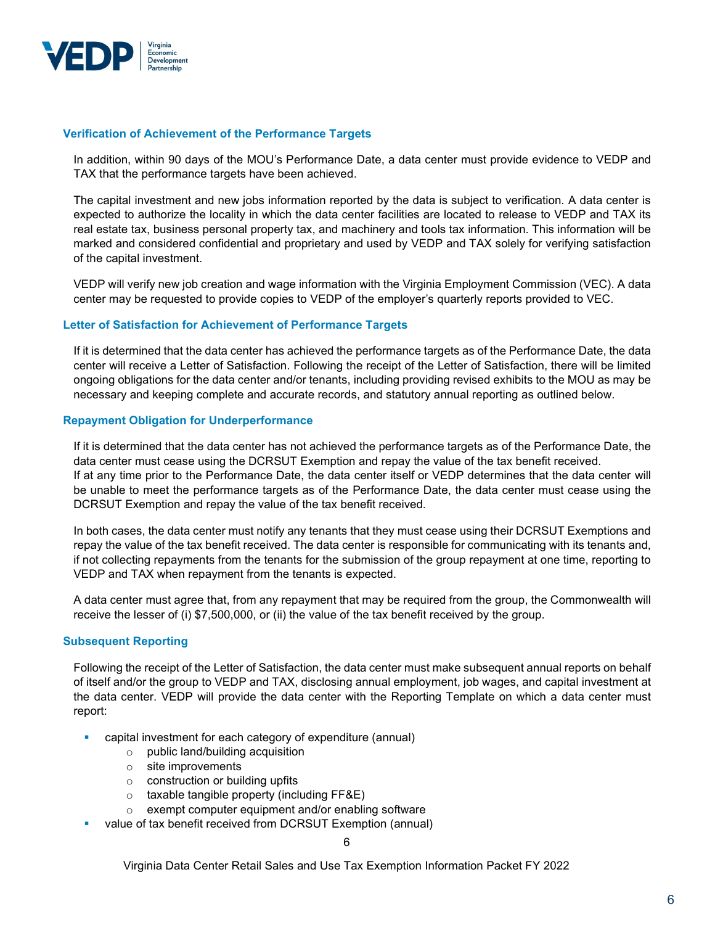

#### Verification of Achievement of the Performance Targets

In addition, within 90 days of the MOU's Performance Date, a data center must provide evidence to VEDP and TAX that the performance targets have been achieved.

The capital investment and new jobs information reported by the data is subject to verification. A data center is expected to authorize the locality in which the data center facilities are located to release to VEDP and TAX its real estate tax, business personal property tax, and machinery and tools tax information. This information will be marked and considered confidential and proprietary and used by VEDP and TAX solely for verifying satisfaction of the capital investment.

VEDP will verify new job creation and wage information with the Virginia Employment Commission (VEC). A data center may be requested to provide copies to VEDP of the employer's quarterly reports provided to VEC.

### Letter of Satisfaction for Achievement of Performance Targets

If it is determined that the data center has achieved the performance targets as of the Performance Date, the data center will receive a Letter of Satisfaction. Following the receipt of the Letter of Satisfaction, there will be limited ongoing obligations for the data center and/or tenants, including providing revised exhibits to the MOU as may be necessary and keeping complete and accurate records, and statutory annual reporting as outlined below.

#### Repayment Obligation for Underperformance

If it is determined that the data center has not achieved the performance targets as of the Performance Date, the data center must cease using the DCRSUT Exemption and repay the value of the tax benefit received. If at any time prior to the Performance Date, the data center itself or VEDP determines that the data center will be unable to meet the performance targets as of the Performance Date, the data center must cease using the DCRSUT Exemption and repay the value of the tax benefit received.

In both cases, the data center must notify any tenants that they must cease using their DCRSUT Exemptions and repay the value of the tax benefit received. The data center is responsible for communicating with its tenants and, if not collecting repayments from the tenants for the submission of the group repayment at one time, reporting to VEDP and TAX when repayment from the tenants is expected.

A data center must agree that, from any repayment that may be required from the group, the Commonwealth will receive the lesser of (i) \$7,500,000, or (ii) the value of the tax benefit received by the group.

#### Subsequent Reporting

Following the receipt of the Letter of Satisfaction, the data center must make subsequent annual reports on behalf of itself and/or the group to VEDP and TAX, disclosing annual employment, job wages, and capital investment at the data center. VEDP will provide the data center with the Reporting Template on which a data center must report:

- capital investment for each category of expenditure (annual)
	- o public land/building acquisition
	- o site improvements
	- $\circ$  construction or building upfits
	- o taxable tangible property (including FF&E)
	- o exempt computer equipment and/or enabling software
	- value of tax benefit received from DCRSUT Exemption (annual)